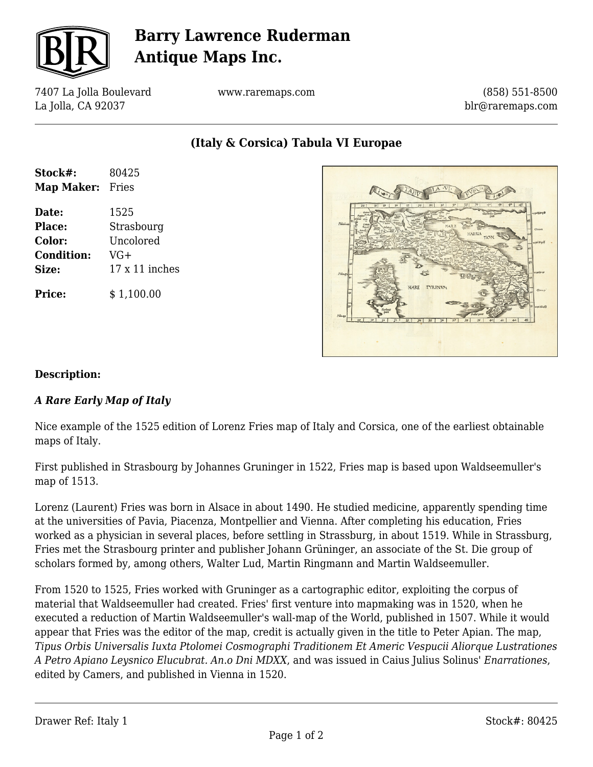

# **Barry Lawrence Ruderman Antique Maps Inc.**

7407 La Jolla Boulevard La Jolla, CA 92037

www.raremaps.com

(858) 551-8500 blr@raremaps.com

**(Italy & Corsica) Tabula VI Europae**

| Stock#:<br>Map Maker: | 80425<br>Fries        |
|-----------------------|-----------------------|
|                       |                       |
| Place:                | Strasbourg            |
| Color:                | Uncolored             |
| <b>Condition:</b>     | $VG+$                 |
| Size:                 | $17 \times 11$ inches |
| <b>Price:</b>         | \$1,100.00            |



#### **Description:**

### *A Rare Early Map of Italy*

Nice example of the 1525 edition of Lorenz Fries map of Italy and Corsica, one of the earliest obtainable maps of Italy.

First published in Strasbourg by Johannes Gruninger in 1522, Fries map is based upon Waldseemuller's map of 1513.

Lorenz (Laurent) Fries was born in Alsace in about 1490. He studied medicine, apparently spending time at the universities of Pavia, Piacenza, Montpellier and Vienna. After completing his education, Fries worked as a physician in several places, before settling in Strassburg, in about 1519. While in Strassburg, Fries met the Strasbourg printer and publisher Johann Grüninger, an associate of the St. Die group of scholars formed by, among others, Walter Lud, Martin Ringmann and Martin Waldseemuller.

From 1520 to 1525, Fries worked with Gruninger as a cartographic editor, exploiting the corpus of material that Waldseemuller had created. Fries' first venture into mapmaking was in 1520, when he executed a reduction of Martin Waldseemuller's wall-map of the World, published in 1507. While it would appear that Fries was the editor of the map, credit is actually given in the title to Peter Apian. The map, *Tipus Orbis Universalis Iuxta Ptolomei Cosmographi Traditionem Et Americ Vespucii Aliorque Lustrationes A Petro Apiano Leysnico Elucubrat. An.o Dni MDXX*, and was issued in Caius Julius Solinus' *Enarrationes*, edited by Camers, and published in Vienna in 1520.